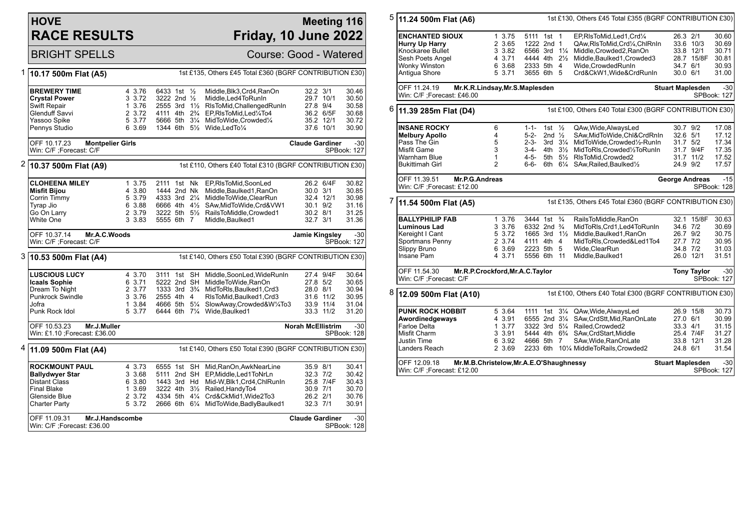## **HOVE RACE RESULTS**

## **Meeting 116 Friday, 10 June 2022**

BRIGHT SPELLS Course: Good - Watered

| 1 | 10.17 500m Flat (A5)                                                                                                                   | 1st £135, Others £45 Total £360 (BGRF CONTRIBUTION £30)   |                                                                                       |  |                                                                                                                                                                                                                          |                                                              |                                                  |                                                    |  |
|---|----------------------------------------------------------------------------------------------------------------------------------------|-----------------------------------------------------------|---------------------------------------------------------------------------------------|--|--------------------------------------------------------------------------------------------------------------------------------------------------------------------------------------------------------------------------|--------------------------------------------------------------|--------------------------------------------------|----------------------------------------------------|--|
|   | <b>BREWERY TIME</b><br><b>Crystal Power</b><br>Swift Repair                                                                            | 4 3.76<br>3 3.72<br>1 3.76                                | 6433 1st 1/2<br>3222 2nd $\frac{1}{2}$<br>2555 3rd 1½                                 |  | Middle, Blk3, Crd4, RanOn<br>Middle, Led4ToRunIn<br>RIsToMid, Challenged RunIn                                                                                                                                           | 32.2 3/1<br>29.7 10/1<br>27.8 9/4                            |                                                  | 30.46<br>30.50<br>30.58                            |  |
|   | Glenduff Savvi<br>Yassoo Spike<br>Pennys Studio                                                                                        | 2 3.72<br>5 3.77<br>6 3.69                                | 4111 4th 2 <sup>3</sup> / <sub>4</sub><br>5666 5th 31/4                               |  | EP, RIsToMid, Led 1/4To4<br>MidToWide, Crowded1/4<br>1344 6th 51/ <sub>2</sub> Wide, Led To <sup>1</sup> / <sub>4</sub>                                                                                                  |                                                              | 36.2 6/5F<br>35.2 12/1<br>37.6 10/1              | 30.68<br>30.72<br>30.90                            |  |
|   | OFF 10.17.23<br><b>Montpelier Girls</b><br>Win: C/F : Forecast: C/F                                                                    |                                                           |                                                                                       |  |                                                                                                                                                                                                                          | <b>Claude Gardiner</b>                                       |                                                  | $-30$<br>SPBook: 127                               |  |
| 2 | 10.37 500m Flat (A9)                                                                                                                   |                                                           |                                                                                       |  | 1st £110, Others £40 Total £310 (BGRF CONTRIBUTION £30)                                                                                                                                                                  |                                                              |                                                  |                                                    |  |
|   | <b>CLOHEENA MILEY</b><br><b>Misfit Bijou</b><br>Corrin Timmy<br>Tyrap Jio<br>Go On Larry<br>White One                                  | 1, 3.75<br>4 3.80<br>5 3.79<br>6 3.88<br>2 3.79<br>3 3.83 | 2111 1st Nk<br>1444 2nd Nk<br>4333 3rd 21/4<br>5555 6th 7                             |  | EP,RIsToMid,SoonLed<br>Middle, Baulked1, RanOn<br>MiddleToWide,ClearRun<br>6666 4th 41/2 SAw, MidToWide, Crd& VW1<br>3222 5th 51/2 RailsToMiddle, Crowded1<br>Middle, Baulked1                                           | $30.0$ $3/1$<br>30.1 9/2<br>30.2 8/1<br>32.7 3/1             | 26.2 6/4F<br>32.4 12/1                           | 30.82<br>30.85<br>30.98<br>31.16<br>31.25<br>31.36 |  |
|   | OFF 10.37.14<br>Mr.A.C.Woods<br>Win: C/F ;Forecast: C/F                                                                                |                                                           |                                                                                       |  |                                                                                                                                                                                                                          | <b>Jamie Kingsley</b>                                        |                                                  | $-30$<br>SPBook: 127                               |  |
|   | $3 $ 10.53 500m Flat (A4)                                                                                                              |                                                           |                                                                                       |  | 1st £140, Others £50 Total £390 (BGRF CONTRIBUTION £30)                                                                                                                                                                  |                                                              |                                                  |                                                    |  |
|   | <b>LUSCIOUS LUCY</b><br><b>Icaals Sophie</b><br>Dream To Night<br><b>Punkrock Swindle</b><br>Jofra<br>Punk Rock Idol                   | 4 3.70<br>6 3.71<br>2 3.77<br>3 3.76<br>1 3.84<br>5 3.77  | 5222 2nd SH<br>2555 4th 4<br>4666 5th 51/4                                            |  | 3111 1st SH Middle, SoonLed, WideRunIn<br>MiddleToWide.RanOn<br>1333 3rd 3 <sup>3</sup> / <sub>4</sub> MidToRIs, Baulked 1, Crd3<br>RIsToMid, Baulked1, Crd3<br>SlowAway,Crowded&W1/4To3<br>6444 6th 71/4 Wide, Baulked1 | 27.8 5/2<br>28.0 8/1                                         | 27.4 9/4F<br>31.6 11/2<br>33.9 11/4<br>33.3 11/2 | 30.64<br>30.65<br>30.94<br>30.95<br>31.04<br>31.20 |  |
|   | OFF 10.53.23<br>Mr.J.Muller<br>Win: £1.10 ; Forecast: £36.00                                                                           |                                                           |                                                                                       |  |                                                                                                                                                                                                                          | <b>Norah McEllistrim</b>                                     |                                                  | $-30$<br>SPBook: 128                               |  |
|   | <sup>4</sup> 11.09 500m Flat (A4)                                                                                                      | 1st £140, Others £50 Total £390 (BGRF CONTRIBUTION £30)   |                                                                                       |  |                                                                                                                                                                                                                          |                                                              |                                                  |                                                    |  |
|   | <b>ROCKMOUNT PAUL</b><br><b>Ballydwyer Star</b><br><b>Distant Class</b><br><b>Final Blake</b><br>Glenside Blue<br><b>Charter Party</b> | 4 3.73<br>3 3.68<br>6 3.80<br>1 3.69<br>2 3.72<br>5 3.72  | 6555 1st SH<br>5111 2nd SH<br>1443 3rd Hd<br>3222 4th 31/2<br>4334 5th $4\frac{1}{4}$ |  | Mid, RanOn, AwkNearLine<br>EP, Middle, Led1ToNrLn<br>Mid-W,Blk1,Crd4,ChlRunIn<br>Railed, Handy To4<br>Crd&CkMid1,Wide2To3<br>2666 6th 61/4 MidToWide, Badly Baulked 1                                                    | 35.9 8/1<br>$32.3$ $7/2$<br>30.9 7/1<br>26.2 2/1<br>32.3 7/1 | 25.8 7/4F                                        | 30.41<br>30.42<br>30.43<br>30.70<br>30.76<br>30.91 |  |
|   | OFF 11.09.31<br>Mr.J.Handscombe<br>Win: C/F ;Forecast: £36.00                                                                          |                                                           |                                                                                       |  |                                                                                                                                                                                                                          | <b>Claude Gardiner</b>                                       |                                                  | $-30$<br>SPBook: 128                               |  |

| 26.3 2/1<br><b>ENCHANTED SIOUX</b><br>1 3.75<br>5111 1st 1<br>EP,RIsToMid,Led1,Crd1/4<br>30.60<br>2 3.65<br>Hurry Up Harry<br>1222 2nd 1<br>QAw, RIs To Mid, Crd <sup>1</sup> / <sub>4</sub> , ChIRnIn<br>33.6 10/3<br>30.69<br>Knockaree Bullet<br>3 3.82<br>6566 3rd 11/4<br>Middle, Crowded2, RanOn<br>33.8 12/1<br>30.71<br>4444 4th 21/2<br>Sesh Poets Angel<br>4 3.71<br>Middle, Baulked1, Crowded3<br>28.7 15/8F<br>30.81<br>Wonky Winston<br>6 3.68<br>2333 5th 4<br>Wide.CrowdedRunIn<br>34.7 6/1<br>30.93<br>5 3.71<br>3655 6th 5<br>30.0 6/1<br>31.00<br>Antigua Shore<br>Crd&CkW1, Wide&CrdRunIn<br>OFF 11.24.19<br>Mr.K.R.Lindsay, Mr.S.Maplesden<br>$-30$<br><b>Stuart Maplesden</b><br>Win: C/F ;Forecast: £46.00<br>SPBook: 127<br>1st £100, Others £40 Total £300 (BGRF CONTRIBUTION £30)<br>11.39 285m Flat (D4)<br>1st $\frac{1}{2}$<br><b>INSANE ROCKY</b><br>6<br>$1 - 1 -$<br>QAw, Wide, AlwaysLed<br>30.7 9/2<br>17.08<br><b>Melbury Apollo</b><br>4<br>5-2-<br>2nd $\frac{1}{2}$<br>SAw, MidToWide, Chl&CrdRnIn<br>32.6 5/1<br>17.12<br>Pass The Gin<br>5<br>$2 - 3 -$<br>MidToWide,Crowded1/2-RunIn<br>3rd $3\frac{1}{4}$<br>31.7 5/2<br>17.34<br>3<br>31.7 9/4F<br>17.35<br>Misfit Game<br>3-4-4th $3\frac{1}{2}$<br>MidToRIs, Crowded1/2ToRunIn<br>Warnham Blue<br>1<br>4-5-<br>5th 51/2 RIsToMid, Crowded2<br>31.7 11/2<br>17.52<br>$\overline{2}$<br>6-6-<br>6th 61/4 SAw, Railed, Baulked1/2<br>24.9 9/2<br>17.57<br>Bukittimah Girl<br>OFF 11.39.51<br>Mr.P.G.Andreas<br>$-15$<br><b>George Andreas</b><br>Win: C/F : Forecast: £12.00<br>SPBook: 128<br>1st £135, Others £45 Total £360 (BGRF CONTRIBUTION £30)<br>11.54 500m Flat (A5)<br>$\frac{3}{4}$<br><b>BALLYPHILIP FAB</b><br>1 3.76<br>3444 1st<br>RailsToMiddle, RanOn<br>32.1 15/8F<br>30.63<br>3 3.76<br>6332 2nd 3/4<br>Luminous Lad<br>MidToRIs, Crd1, Led4ToRunIn<br>34.6 7/2<br>30.69<br>5 3.72<br>1665 3rd $1\frac{1}{2}$<br>Middle, Baulked1, RanOn<br>26.7 9/2<br>Kereight I Cant<br>30.75<br>Sportmans Penny<br>2 3.74<br>4111 4th 4<br>MidToRIs, Crowded&Led1To4<br>27.7 7/2<br>30.95<br>Wide, ClearRun<br>34.8 7/2<br>Slippy Bruno<br>6 3.69<br>2223 5th 5<br>31.03<br>4 3.71<br>Insane Pam<br>5556 6th 11<br>Middle, Baulked1<br>26.0 12/1<br>31.51<br>OFF 11.54.30<br>Mr.R.P.Crockford, Mr.A.C. Taylor<br>$-30$<br><b>Tony Taylor</b><br>Win: C/F ; Forecast: C/F<br>SPBook: 127<br>1st £100, Others £40 Total £300 (BGRF CONTRIBUTION £30)<br>12.09 500m Flat (A10)<br><b>PUNK ROCK HOBBIT</b><br>5 3.64<br>1111 1st<br>$3\frac{1}{4}$<br>QAw, Wide, AlwaysLed<br>26.9 15/8<br>30.73<br>Awordinedgeways<br>4 3.91<br>6555 2nd 31/4<br>SAw, CrdStt, Mid, RanOnLate<br>30.99<br>27.0 6/1<br><b>Farloe Delta</b><br>3322 3rd 51/4<br>Railed, Crowded2<br>31.15<br>1, 3.77<br>$33.3 \quad 4/1$<br>3 3.91<br>Misfit Charm<br>5444 4th 6 <sup>3</sup> / <sub>4</sub> SAw, CrdStart, Middle<br>25.4 7/4F<br>31.27<br>6 3.92<br>4666 5th 7<br>SAw, Wide, RanOnLate<br>33.8 12/1<br>31.28<br>Justin Time<br>Landers Reach<br>2 3.69<br>2233 6th 101/4 MiddleToRails, Crowded2<br>31.54<br>24.8 6/1<br>OFF 12.09.18<br>Mr.M.B.Christelow, Mr.A.E.O'Shaughnessy<br><b>Stuart Maplesden</b><br>$-30$ | 5 | 11.24 500m Flat (A6)        | 1st £130, Others £45 Total £355 (BGRF CONTRIBUTION £30) |  |  |  |  |  |             |  |  |
|---------------------------------------------------------------------------------------------------------------------------------------------------------------------------------------------------------------------------------------------------------------------------------------------------------------------------------------------------------------------------------------------------------------------------------------------------------------------------------------------------------------------------------------------------------------------------------------------------------------------------------------------------------------------------------------------------------------------------------------------------------------------------------------------------------------------------------------------------------------------------------------------------------------------------------------------------------------------------------------------------------------------------------------------------------------------------------------------------------------------------------------------------------------------------------------------------------------------------------------------------------------------------------------------------------------------------------------------------------------------------------------------------------------------------------------------------------------------------------------------------------------------------------------------------------------------------------------------------------------------------------------------------------------------------------------------------------------------------------------------------------------------------------------------------------------------------------------------------------------------------------------------------------------------------------------------------------------------------------------------------------------------------------------------------------------------------------------------------------------------------------------------------------------------------------------------------------------------------------------------------------------------------------------------------------------------------------------------------------------------------------------------------------------------------------------------------------------------------------------------------------------------------------------------------------------------------------------------------------------------------------------------------------------------------------------------------------------------------------------------------------------------------------------------------------------------------------------------------------------------------------------------------------------------------------------------------------------------------------------------------------------------------------------------------------------------------------------------------------------------------------------------------------------------------------------------------|---|-----------------------------|---------------------------------------------------------|--|--|--|--|--|-------------|--|--|
|                                                                                                                                                                                                                                                                                                                                                                                                                                                                                                                                                                                                                                                                                                                                                                                                                                                                                                                                                                                                                                                                                                                                                                                                                                                                                                                                                                                                                                                                                                                                                                                                                                                                                                                                                                                                                                                                                                                                                                                                                                                                                                                                                                                                                                                                                                                                                                                                                                                                                                                                                                                                                                                                                                                                                                                                                                                                                                                                                                                                                                                                                                                                                                                                   |   |                             |                                                         |  |  |  |  |  |             |  |  |
|                                                                                                                                                                                                                                                                                                                                                                                                                                                                                                                                                                                                                                                                                                                                                                                                                                                                                                                                                                                                                                                                                                                                                                                                                                                                                                                                                                                                                                                                                                                                                                                                                                                                                                                                                                                                                                                                                                                                                                                                                                                                                                                                                                                                                                                                                                                                                                                                                                                                                                                                                                                                                                                                                                                                                                                                                                                                                                                                                                                                                                                                                                                                                                                                   |   |                             |                                                         |  |  |  |  |  |             |  |  |
|                                                                                                                                                                                                                                                                                                                                                                                                                                                                                                                                                                                                                                                                                                                                                                                                                                                                                                                                                                                                                                                                                                                                                                                                                                                                                                                                                                                                                                                                                                                                                                                                                                                                                                                                                                                                                                                                                                                                                                                                                                                                                                                                                                                                                                                                                                                                                                                                                                                                                                                                                                                                                                                                                                                                                                                                                                                                                                                                                                                                                                                                                                                                                                                                   |   |                             |                                                         |  |  |  |  |  |             |  |  |
|                                                                                                                                                                                                                                                                                                                                                                                                                                                                                                                                                                                                                                                                                                                                                                                                                                                                                                                                                                                                                                                                                                                                                                                                                                                                                                                                                                                                                                                                                                                                                                                                                                                                                                                                                                                                                                                                                                                                                                                                                                                                                                                                                                                                                                                                                                                                                                                                                                                                                                                                                                                                                                                                                                                                                                                                                                                                                                                                                                                                                                                                                                                                                                                                   |   |                             |                                                         |  |  |  |  |  |             |  |  |
|                                                                                                                                                                                                                                                                                                                                                                                                                                                                                                                                                                                                                                                                                                                                                                                                                                                                                                                                                                                                                                                                                                                                                                                                                                                                                                                                                                                                                                                                                                                                                                                                                                                                                                                                                                                                                                                                                                                                                                                                                                                                                                                                                                                                                                                                                                                                                                                                                                                                                                                                                                                                                                                                                                                                                                                                                                                                                                                                                                                                                                                                                                                                                                                                   |   |                             |                                                         |  |  |  |  |  |             |  |  |
|                                                                                                                                                                                                                                                                                                                                                                                                                                                                                                                                                                                                                                                                                                                                                                                                                                                                                                                                                                                                                                                                                                                                                                                                                                                                                                                                                                                                                                                                                                                                                                                                                                                                                                                                                                                                                                                                                                                                                                                                                                                                                                                                                                                                                                                                                                                                                                                                                                                                                                                                                                                                                                                                                                                                                                                                                                                                                                                                                                                                                                                                                                                                                                                                   |   |                             |                                                         |  |  |  |  |  |             |  |  |
|                                                                                                                                                                                                                                                                                                                                                                                                                                                                                                                                                                                                                                                                                                                                                                                                                                                                                                                                                                                                                                                                                                                                                                                                                                                                                                                                                                                                                                                                                                                                                                                                                                                                                                                                                                                                                                                                                                                                                                                                                                                                                                                                                                                                                                                                                                                                                                                                                                                                                                                                                                                                                                                                                                                                                                                                                                                                                                                                                                                                                                                                                                                                                                                                   |   |                             |                                                         |  |  |  |  |  |             |  |  |
|                                                                                                                                                                                                                                                                                                                                                                                                                                                                                                                                                                                                                                                                                                                                                                                                                                                                                                                                                                                                                                                                                                                                                                                                                                                                                                                                                                                                                                                                                                                                                                                                                                                                                                                                                                                                                                                                                                                                                                                                                                                                                                                                                                                                                                                                                                                                                                                                                                                                                                                                                                                                                                                                                                                                                                                                                                                                                                                                                                                                                                                                                                                                                                                                   |   |                             |                                                         |  |  |  |  |  |             |  |  |
|                                                                                                                                                                                                                                                                                                                                                                                                                                                                                                                                                                                                                                                                                                                                                                                                                                                                                                                                                                                                                                                                                                                                                                                                                                                                                                                                                                                                                                                                                                                                                                                                                                                                                                                                                                                                                                                                                                                                                                                                                                                                                                                                                                                                                                                                                                                                                                                                                                                                                                                                                                                                                                                                                                                                                                                                                                                                                                                                                                                                                                                                                                                                                                                                   | 6 |                             |                                                         |  |  |  |  |  |             |  |  |
|                                                                                                                                                                                                                                                                                                                                                                                                                                                                                                                                                                                                                                                                                                                                                                                                                                                                                                                                                                                                                                                                                                                                                                                                                                                                                                                                                                                                                                                                                                                                                                                                                                                                                                                                                                                                                                                                                                                                                                                                                                                                                                                                                                                                                                                                                                                                                                                                                                                                                                                                                                                                                                                                                                                                                                                                                                                                                                                                                                                                                                                                                                                                                                                                   |   |                             |                                                         |  |  |  |  |  |             |  |  |
|                                                                                                                                                                                                                                                                                                                                                                                                                                                                                                                                                                                                                                                                                                                                                                                                                                                                                                                                                                                                                                                                                                                                                                                                                                                                                                                                                                                                                                                                                                                                                                                                                                                                                                                                                                                                                                                                                                                                                                                                                                                                                                                                                                                                                                                                                                                                                                                                                                                                                                                                                                                                                                                                                                                                                                                                                                                                                                                                                                                                                                                                                                                                                                                                   |   |                             |                                                         |  |  |  |  |  |             |  |  |
|                                                                                                                                                                                                                                                                                                                                                                                                                                                                                                                                                                                                                                                                                                                                                                                                                                                                                                                                                                                                                                                                                                                                                                                                                                                                                                                                                                                                                                                                                                                                                                                                                                                                                                                                                                                                                                                                                                                                                                                                                                                                                                                                                                                                                                                                                                                                                                                                                                                                                                                                                                                                                                                                                                                                                                                                                                                                                                                                                                                                                                                                                                                                                                                                   |   |                             |                                                         |  |  |  |  |  |             |  |  |
|                                                                                                                                                                                                                                                                                                                                                                                                                                                                                                                                                                                                                                                                                                                                                                                                                                                                                                                                                                                                                                                                                                                                                                                                                                                                                                                                                                                                                                                                                                                                                                                                                                                                                                                                                                                                                                                                                                                                                                                                                                                                                                                                                                                                                                                                                                                                                                                                                                                                                                                                                                                                                                                                                                                                                                                                                                                                                                                                                                                                                                                                                                                                                                                                   |   |                             |                                                         |  |  |  |  |  |             |  |  |
|                                                                                                                                                                                                                                                                                                                                                                                                                                                                                                                                                                                                                                                                                                                                                                                                                                                                                                                                                                                                                                                                                                                                                                                                                                                                                                                                                                                                                                                                                                                                                                                                                                                                                                                                                                                                                                                                                                                                                                                                                                                                                                                                                                                                                                                                                                                                                                                                                                                                                                                                                                                                                                                                                                                                                                                                                                                                                                                                                                                                                                                                                                                                                                                                   |   |                             |                                                         |  |  |  |  |  |             |  |  |
|                                                                                                                                                                                                                                                                                                                                                                                                                                                                                                                                                                                                                                                                                                                                                                                                                                                                                                                                                                                                                                                                                                                                                                                                                                                                                                                                                                                                                                                                                                                                                                                                                                                                                                                                                                                                                                                                                                                                                                                                                                                                                                                                                                                                                                                                                                                                                                                                                                                                                                                                                                                                                                                                                                                                                                                                                                                                                                                                                                                                                                                                                                                                                                                                   |   |                             |                                                         |  |  |  |  |  |             |  |  |
|                                                                                                                                                                                                                                                                                                                                                                                                                                                                                                                                                                                                                                                                                                                                                                                                                                                                                                                                                                                                                                                                                                                                                                                                                                                                                                                                                                                                                                                                                                                                                                                                                                                                                                                                                                                                                                                                                                                                                                                                                                                                                                                                                                                                                                                                                                                                                                                                                                                                                                                                                                                                                                                                                                                                                                                                                                                                                                                                                                                                                                                                                                                                                                                                   |   |                             |                                                         |  |  |  |  |  |             |  |  |
|                                                                                                                                                                                                                                                                                                                                                                                                                                                                                                                                                                                                                                                                                                                                                                                                                                                                                                                                                                                                                                                                                                                                                                                                                                                                                                                                                                                                                                                                                                                                                                                                                                                                                                                                                                                                                                                                                                                                                                                                                                                                                                                                                                                                                                                                                                                                                                                                                                                                                                                                                                                                                                                                                                                                                                                                                                                                                                                                                                                                                                                                                                                                                                                                   |   |                             |                                                         |  |  |  |  |  |             |  |  |
|                                                                                                                                                                                                                                                                                                                                                                                                                                                                                                                                                                                                                                                                                                                                                                                                                                                                                                                                                                                                                                                                                                                                                                                                                                                                                                                                                                                                                                                                                                                                                                                                                                                                                                                                                                                                                                                                                                                                                                                                                                                                                                                                                                                                                                                                                                                                                                                                                                                                                                                                                                                                                                                                                                                                                                                                                                                                                                                                                                                                                                                                                                                                                                                                   |   |                             |                                                         |  |  |  |  |  |             |  |  |
|                                                                                                                                                                                                                                                                                                                                                                                                                                                                                                                                                                                                                                                                                                                                                                                                                                                                                                                                                                                                                                                                                                                                                                                                                                                                                                                                                                                                                                                                                                                                                                                                                                                                                                                                                                                                                                                                                                                                                                                                                                                                                                                                                                                                                                                                                                                                                                                                                                                                                                                                                                                                                                                                                                                                                                                                                                                                                                                                                                                                                                                                                                                                                                                                   | 7 |                             |                                                         |  |  |  |  |  |             |  |  |
|                                                                                                                                                                                                                                                                                                                                                                                                                                                                                                                                                                                                                                                                                                                                                                                                                                                                                                                                                                                                                                                                                                                                                                                                                                                                                                                                                                                                                                                                                                                                                                                                                                                                                                                                                                                                                                                                                                                                                                                                                                                                                                                                                                                                                                                                                                                                                                                                                                                                                                                                                                                                                                                                                                                                                                                                                                                                                                                                                                                                                                                                                                                                                                                                   |   |                             |                                                         |  |  |  |  |  |             |  |  |
|                                                                                                                                                                                                                                                                                                                                                                                                                                                                                                                                                                                                                                                                                                                                                                                                                                                                                                                                                                                                                                                                                                                                                                                                                                                                                                                                                                                                                                                                                                                                                                                                                                                                                                                                                                                                                                                                                                                                                                                                                                                                                                                                                                                                                                                                                                                                                                                                                                                                                                                                                                                                                                                                                                                                                                                                                                                                                                                                                                                                                                                                                                                                                                                                   |   |                             |                                                         |  |  |  |  |  |             |  |  |
|                                                                                                                                                                                                                                                                                                                                                                                                                                                                                                                                                                                                                                                                                                                                                                                                                                                                                                                                                                                                                                                                                                                                                                                                                                                                                                                                                                                                                                                                                                                                                                                                                                                                                                                                                                                                                                                                                                                                                                                                                                                                                                                                                                                                                                                                                                                                                                                                                                                                                                                                                                                                                                                                                                                                                                                                                                                                                                                                                                                                                                                                                                                                                                                                   |   |                             |                                                         |  |  |  |  |  |             |  |  |
|                                                                                                                                                                                                                                                                                                                                                                                                                                                                                                                                                                                                                                                                                                                                                                                                                                                                                                                                                                                                                                                                                                                                                                                                                                                                                                                                                                                                                                                                                                                                                                                                                                                                                                                                                                                                                                                                                                                                                                                                                                                                                                                                                                                                                                                                                                                                                                                                                                                                                                                                                                                                                                                                                                                                                                                                                                                                                                                                                                                                                                                                                                                                                                                                   |   |                             |                                                         |  |  |  |  |  |             |  |  |
|                                                                                                                                                                                                                                                                                                                                                                                                                                                                                                                                                                                                                                                                                                                                                                                                                                                                                                                                                                                                                                                                                                                                                                                                                                                                                                                                                                                                                                                                                                                                                                                                                                                                                                                                                                                                                                                                                                                                                                                                                                                                                                                                                                                                                                                                                                                                                                                                                                                                                                                                                                                                                                                                                                                                                                                                                                                                                                                                                                                                                                                                                                                                                                                                   |   |                             |                                                         |  |  |  |  |  |             |  |  |
|                                                                                                                                                                                                                                                                                                                                                                                                                                                                                                                                                                                                                                                                                                                                                                                                                                                                                                                                                                                                                                                                                                                                                                                                                                                                                                                                                                                                                                                                                                                                                                                                                                                                                                                                                                                                                                                                                                                                                                                                                                                                                                                                                                                                                                                                                                                                                                                                                                                                                                                                                                                                                                                                                                                                                                                                                                                                                                                                                                                                                                                                                                                                                                                                   |   |                             |                                                         |  |  |  |  |  |             |  |  |
|                                                                                                                                                                                                                                                                                                                                                                                                                                                                                                                                                                                                                                                                                                                                                                                                                                                                                                                                                                                                                                                                                                                                                                                                                                                                                                                                                                                                                                                                                                                                                                                                                                                                                                                                                                                                                                                                                                                                                                                                                                                                                                                                                                                                                                                                                                                                                                                                                                                                                                                                                                                                                                                                                                                                                                                                                                                                                                                                                                                                                                                                                                                                                                                                   |   |                             |                                                         |  |  |  |  |  |             |  |  |
|                                                                                                                                                                                                                                                                                                                                                                                                                                                                                                                                                                                                                                                                                                                                                                                                                                                                                                                                                                                                                                                                                                                                                                                                                                                                                                                                                                                                                                                                                                                                                                                                                                                                                                                                                                                                                                                                                                                                                                                                                                                                                                                                                                                                                                                                                                                                                                                                                                                                                                                                                                                                                                                                                                                                                                                                                                                                                                                                                                                                                                                                                                                                                                                                   |   |                             |                                                         |  |  |  |  |  |             |  |  |
|                                                                                                                                                                                                                                                                                                                                                                                                                                                                                                                                                                                                                                                                                                                                                                                                                                                                                                                                                                                                                                                                                                                                                                                                                                                                                                                                                                                                                                                                                                                                                                                                                                                                                                                                                                                                                                                                                                                                                                                                                                                                                                                                                                                                                                                                                                                                                                                                                                                                                                                                                                                                                                                                                                                                                                                                                                                                                                                                                                                                                                                                                                                                                                                                   | 8 |                             |                                                         |  |  |  |  |  |             |  |  |
|                                                                                                                                                                                                                                                                                                                                                                                                                                                                                                                                                                                                                                                                                                                                                                                                                                                                                                                                                                                                                                                                                                                                                                                                                                                                                                                                                                                                                                                                                                                                                                                                                                                                                                                                                                                                                                                                                                                                                                                                                                                                                                                                                                                                                                                                                                                                                                                                                                                                                                                                                                                                                                                                                                                                                                                                                                                                                                                                                                                                                                                                                                                                                                                                   |   |                             |                                                         |  |  |  |  |  |             |  |  |
|                                                                                                                                                                                                                                                                                                                                                                                                                                                                                                                                                                                                                                                                                                                                                                                                                                                                                                                                                                                                                                                                                                                                                                                                                                                                                                                                                                                                                                                                                                                                                                                                                                                                                                                                                                                                                                                                                                                                                                                                                                                                                                                                                                                                                                                                                                                                                                                                                                                                                                                                                                                                                                                                                                                                                                                                                                                                                                                                                                                                                                                                                                                                                                                                   |   |                             |                                                         |  |  |  |  |  |             |  |  |
|                                                                                                                                                                                                                                                                                                                                                                                                                                                                                                                                                                                                                                                                                                                                                                                                                                                                                                                                                                                                                                                                                                                                                                                                                                                                                                                                                                                                                                                                                                                                                                                                                                                                                                                                                                                                                                                                                                                                                                                                                                                                                                                                                                                                                                                                                                                                                                                                                                                                                                                                                                                                                                                                                                                                                                                                                                                                                                                                                                                                                                                                                                                                                                                                   |   |                             |                                                         |  |  |  |  |  |             |  |  |
|                                                                                                                                                                                                                                                                                                                                                                                                                                                                                                                                                                                                                                                                                                                                                                                                                                                                                                                                                                                                                                                                                                                                                                                                                                                                                                                                                                                                                                                                                                                                                                                                                                                                                                                                                                                                                                                                                                                                                                                                                                                                                                                                                                                                                                                                                                                                                                                                                                                                                                                                                                                                                                                                                                                                                                                                                                                                                                                                                                                                                                                                                                                                                                                                   |   |                             |                                                         |  |  |  |  |  |             |  |  |
|                                                                                                                                                                                                                                                                                                                                                                                                                                                                                                                                                                                                                                                                                                                                                                                                                                                                                                                                                                                                                                                                                                                                                                                                                                                                                                                                                                                                                                                                                                                                                                                                                                                                                                                                                                                                                                                                                                                                                                                                                                                                                                                                                                                                                                                                                                                                                                                                                                                                                                                                                                                                                                                                                                                                                                                                                                                                                                                                                                                                                                                                                                                                                                                                   |   |                             |                                                         |  |  |  |  |  |             |  |  |
|                                                                                                                                                                                                                                                                                                                                                                                                                                                                                                                                                                                                                                                                                                                                                                                                                                                                                                                                                                                                                                                                                                                                                                                                                                                                                                                                                                                                                                                                                                                                                                                                                                                                                                                                                                                                                                                                                                                                                                                                                                                                                                                                                                                                                                                                                                                                                                                                                                                                                                                                                                                                                                                                                                                                                                                                                                                                                                                                                                                                                                                                                                                                                                                                   |   |                             |                                                         |  |  |  |  |  |             |  |  |
|                                                                                                                                                                                                                                                                                                                                                                                                                                                                                                                                                                                                                                                                                                                                                                                                                                                                                                                                                                                                                                                                                                                                                                                                                                                                                                                                                                                                                                                                                                                                                                                                                                                                                                                                                                                                                                                                                                                                                                                                                                                                                                                                                                                                                                                                                                                                                                                                                                                                                                                                                                                                                                                                                                                                                                                                                                                                                                                                                                                                                                                                                                                                                                                                   |   |                             |                                                         |  |  |  |  |  |             |  |  |
|                                                                                                                                                                                                                                                                                                                                                                                                                                                                                                                                                                                                                                                                                                                                                                                                                                                                                                                                                                                                                                                                                                                                                                                                                                                                                                                                                                                                                                                                                                                                                                                                                                                                                                                                                                                                                                                                                                                                                                                                                                                                                                                                                                                                                                                                                                                                                                                                                                                                                                                                                                                                                                                                                                                                                                                                                                                                                                                                                                                                                                                                                                                                                                                                   |   | Win: C/F : Forecast: £12.00 |                                                         |  |  |  |  |  | SPBook: 127 |  |  |